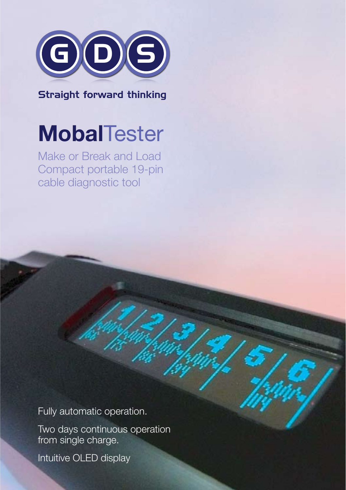

Straight forward thinking

## **Mobal**Tester

Make or Break and Load Compact portable 19-pin cable diagnostic tool

Fully automatic operation.

Two days continuous operation from single charge.

Intuitive OLED display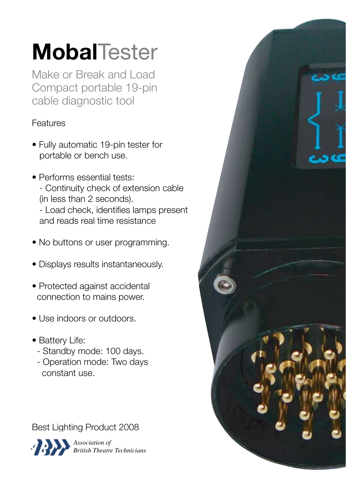# **Mobal**Tester

Make or Break and Load Compact portable 19-pin cable diagnostic tool

## Features

- Fully automatic 19-pin tester for portable or bench use.
- Performs essential tests: - Continuity check of extension cable (in less than 2 seconds). - Load check, identifies lamps present and reads real time resistance
- No buttons or user programming.
- Displays results instantaneously.
- Protected against accidental connection to mains power.
- Use indoors or outdoors.
- Battery Life:
	- Standby mode: 100 days.
	- Operation mode: Two days constant use.

Best Lighting Product 2008



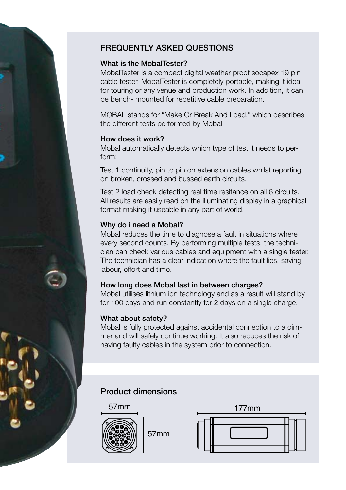

### FREQUENTLY ASKED QUESTIONS

#### What is the MobalTester?

MobalTester is a compact digital weather proof socapex 19 pin cable tester. MobalTester is completely portable, making it ideal for touring or any venue and production work. In addition, it can be bench- mounted for repetitive cable preparation.

MOBAL stands for "Make Or Break And Load," which describes the different tests performed by Mobal

#### How does it work?

Mobal automatically detects which type of test it needs to perform:

Test 1 continuity, pin to pin on extension cables whilst reporting on broken, crossed and bussed earth circuits.

Test 2 load check detecting real time resitance on all 6 circuits. All results are easily read on the illuminating display in a graphical format making it useable in any part of world.

#### Why do i need a Mobal?

Mobal reduces the time to diagnose a fault in situations where every second counts. By performing multiple tests, the technician can check various cables and equipment with a single tester. The technician has a clear indication where the fault lies, saving labour, effort and time.

#### How long does Mobal last in between charges?

Mobal utilises lithium ion technology and as a result will stand by for 100 days and run constantly for 2 days on a single charge.

#### What about safety?

Mobal is fully protected against accidental connection to a dimmer and will safely continue working. It also reduces the risk of having faulty cables in the system prior to connection.

#### Product dimensions